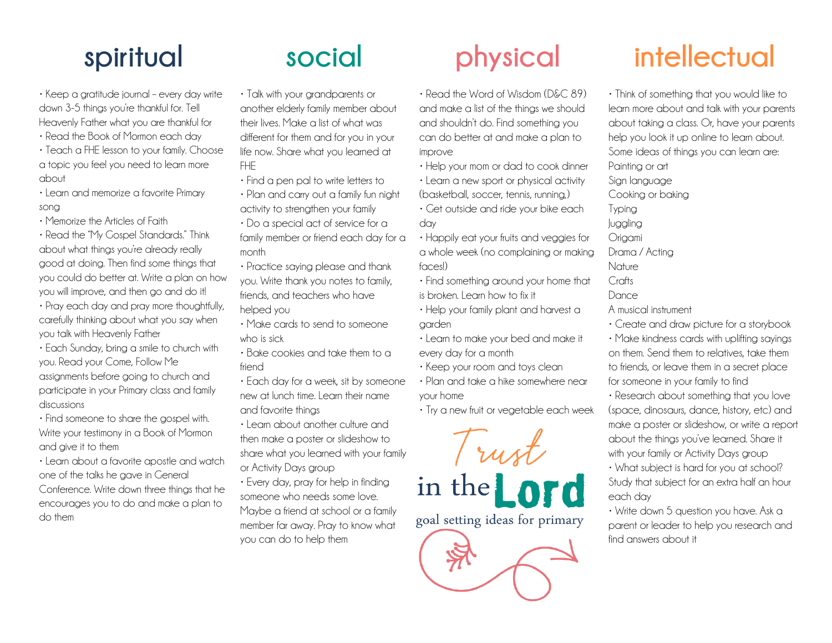• Keep a gratitude journal – every day write down 3-5 things you're thankful for. Tell Heavenly Father what you are thankful for

- Read the Book of Mormon each day
- Teach a FHE lesson to your family. Choose a topic you feel you need to learn more about
- Learn and memorize a favorite Primary song
- Memorize the Articles of Faith

• Read the "My Gospel Standards." Think about what things you're already really good at doing. Then find some things that you could do better at. Write a plan on how you will improve, and then go and do it!

- Pray each day and pray more thoughtfully, carefully thinking about what you say when you talk with Heavenly Father
- Each Sunday, bring a smile to church with you. Read your Come, Follow Me assignments before going to church and participate in your Primary class and family discussions
- Find someone to share the gospel with. Write your testimony in a Book of Mormon and give it to them
- Learn about a favorite apostle and watch one of the talks he gave in General

Conference. Write down three things that he encourages you to do and make a plan to do them

- Talk with your grandparents or another elderly family member about their lives. Make a list of what was different for them and for you in your life now. Share what you learned at FHE
- Find a pen pal to write letters to
- Plan and carry out a family fun night activity to strengthen your family
- Do a special act of service for a family member or friend each day for a month
- Practice saying please and thank you. Write thank you notes to family, friends, and teachers who have helped you
- Make cards to send to someone who is sick
- Bake cookies and take them to a friend
- Each day for a week, sit by someone new at lunch time. Learn their name and favorite things
- Learn about another culture and then make a poster or slideshow to share what you learned with your family or Activity Days group
- Every day, pray for help in finding someone who needs some love. Maybe a friend at school or a family member far away. Pray to know what you can do to help them

- Read the Word of Wisdom (D&C 89) and make a list of the things we should and shouldn't do. Find something you can do better at and make a plan to improve
- Help your mom or dad to cook dinner
- Learn a new sport or physical activity (basketball, soccer, tennis, running,)
- Get outside and ride your bike each day
- Happily eat your fruits and veggies for a whole week (no complaining or making faces!)
- Find something around your home that is broken. Learn how to fix it
- Help your family plant and harvest a garden
- Learn to make your bed and make it every day for a month
- Keep your room and toys clean
- Plan and take a hike somewhere near your home
- Try a new fruit or vegetable each week



## **spiritual social physical intellectual**

• Think of something that you would like to learn more about and talk with your parents about taking a class. Or, have your parents help you look it up online to learn about. Some ideas of things you can learn are: Painting or art Sign language Cooking or baking Typing Juggling Origami Drama / Acting Nature Crafts **Dance** A musical instrument • Create and draw picture for a storybook • Make kindness cards with uplifting sayings on them. Send them to relatives, take them to friends, or leave them in a secret place

for someone in your family to find • Research about something that you love

(space, dinosaurs, dance, history, etc) and make a poster or slideshow, or write a report about the things you've learned. Share it with your family or Activity Days group

• What subject is hard for you at school? Study that subject for an extra half an hour each day

• Write down 5 question you have. Ask a parent or leader to help you research and find answers about it